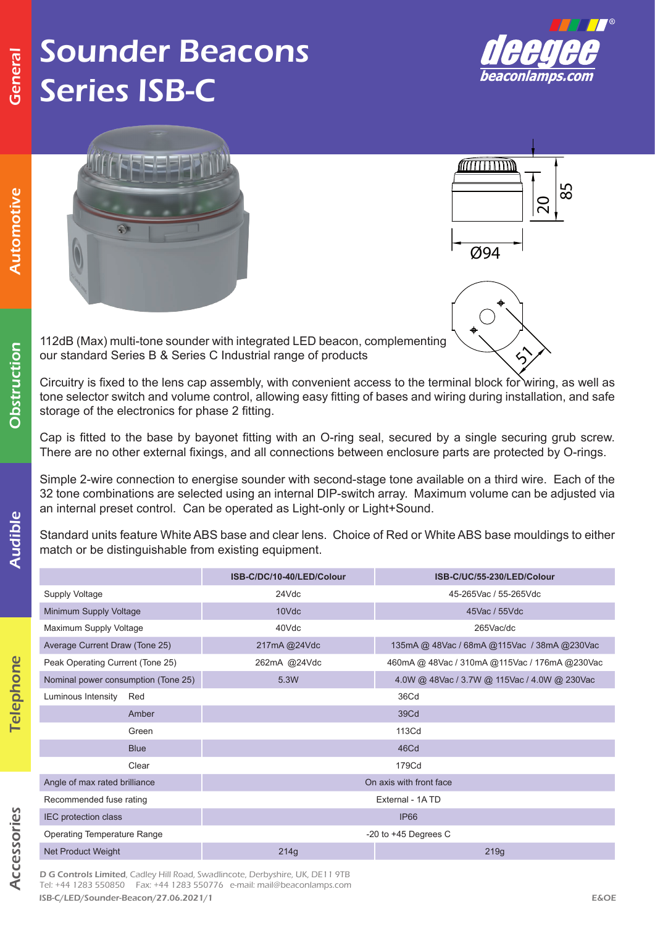Automotive

utomotive

Obstruction

Obstruction

Audible

Audible

## Sounder Beacons Series ISB-C





Circuitry is fixed to the lens cap assembly, with convenient access to the terminal block for wiring, as well as tone selector switch and volume control, allowing easy fitting of bases and wiring during installation, and safe storage of the electronics for phase 2 fitting.

Cap is fitted to the base by bayonet fitting with an O-ring seal, secured by a single securing grub screw. There are no other external fixings, and all connections between enclosure parts are protected by O-rings.

Simple 2-wire connection to energise sounder with second-stage tone available on a third wire. Each of the 32 tone combinations are selected using an internal DIP-switch array. Maximum volume can be adjusted via an internal preset control. Can be operated as Light-only or Light+Sound.

Standard units feature White ABS base and clear lens. Choice of Red or White ABS base mouldings to either match or be distinguishable from existing equipment.

|                                     | ISB-C/DC/10-40/LED/Colour | ISB-C/UC/55-230/LED/Colour                      |  |  |  |  |  |
|-------------------------------------|---------------------------|-------------------------------------------------|--|--|--|--|--|
| Supply Voltage                      | 24Vdc                     | 45-265Vac / 55-265Vdc                           |  |  |  |  |  |
| Minimum Supply Voltage              | 10Vdc                     | 45Vac / 55Vdc                                   |  |  |  |  |  |
| Maximum Supply Voltage              | 40Vdc                     | 265Vac/dc                                       |  |  |  |  |  |
| Average Current Draw (Tone 25)      | 217mA @24Vdc              | 135mA @ 48Vac / 68mA @ 115Vac / 38mA @ 230Vac   |  |  |  |  |  |
| Peak Operating Current (Tone 25)    | 262mA @24Vdc              | 460mA @ 48Vac / 310mA @ 115Vac / 176mA @ 230Vac |  |  |  |  |  |
| Nominal power consumption (Tone 25) | 5.3W                      | 4.0W @ 48Vac / 3.7W @ 115Vac / 4.0W @ 230Vac    |  |  |  |  |  |
| Luminous Intensity<br>Red           | 36Cd                      |                                                 |  |  |  |  |  |
| Amber                               | 39Cd<br>113Cd<br>46Cd     |                                                 |  |  |  |  |  |
| Green                               |                           |                                                 |  |  |  |  |  |
| <b>Blue</b>                         |                           |                                                 |  |  |  |  |  |
| Clear                               | 179Cd                     |                                                 |  |  |  |  |  |
| Angle of max rated brilliance       | On axis with front face   |                                                 |  |  |  |  |  |
| Recommended fuse rating             | External - 1ATD           |                                                 |  |  |  |  |  |
| IEC protection class                | <b>IP66</b>               |                                                 |  |  |  |  |  |
| <b>Operating Temperature Range</b>  | -20 to $+45$ Degrees C    |                                                 |  |  |  |  |  |
| Net Product Weight                  | 214g                      | 219g                                            |  |  |  |  |  |

Accessories Accessories

Telephone

Telephone

ISB-C/LED/Sounder-Beacon/27.06.2021/1 E&OE D G Controls Limited, Cadley Hill Road, Swadlincote, Derbyshire, UK, DE11 9TB Tel: +44 1283 550850 Fax: +44 1283 550776 e-mail: mail@beaconlamps.com